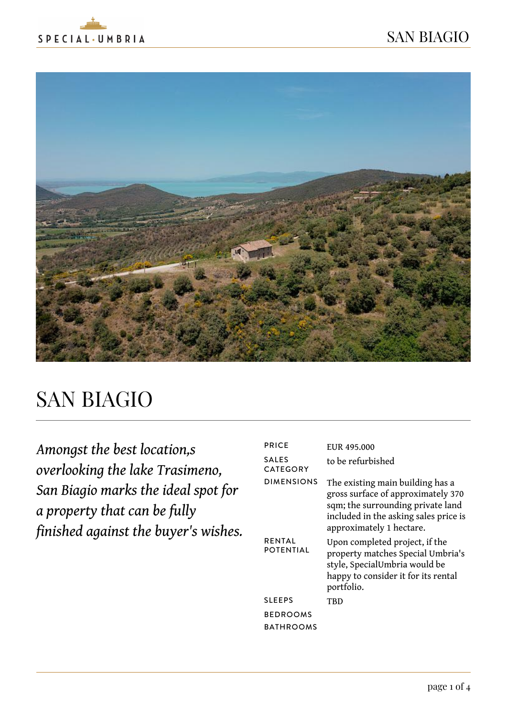



# SAN BIAGIO

*Amongst the best location,s overlooking the lake Trasimeno, San Biagio marks the ideal spot for a property that can be fully finished against the buyer's wishes.*

| <b>PRICE</b>               | EUR 495,000                                                                                                                                                                      |
|----------------------------|----------------------------------------------------------------------------------------------------------------------------------------------------------------------------------|
| <b>SALES</b><br>CATEGORY   | to be refurbished                                                                                                                                                                |
| <b>DIMENSIONS</b>          | The existing main building has a<br>gross surface of approximately 370<br>sqm; the surrounding private land<br>included in the asking sales price is<br>approximately 1 hectare. |
| <b>RENTAL</b><br>POTENTIAL | Upon completed project, if the<br>property matches Special Umbria's<br>style, SpecialUmbria would be<br>happy to consider it for its rental<br>portfolio.                        |
| <b>SLEEPS</b>              | TBD                                                                                                                                                                              |
| <b>BEDROOMS</b>            |                                                                                                                                                                                  |
| <b>BATHROOMS</b>           |                                                                                                                                                                                  |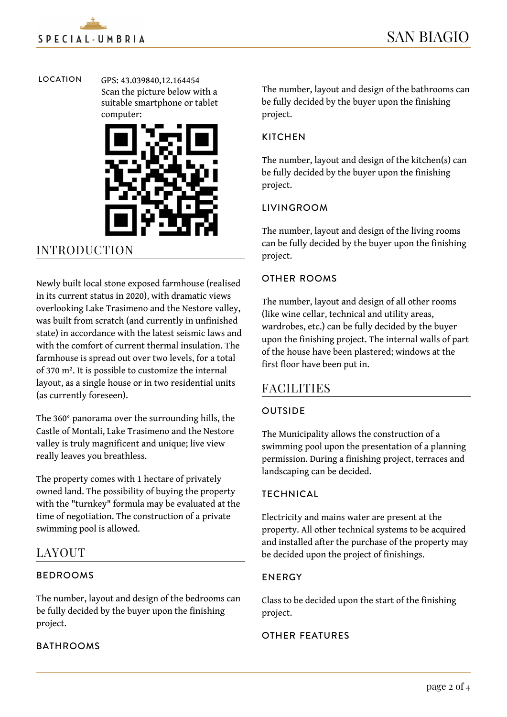LOCATION GPS: 43.039840,12.164454 Scan the picture below with a suitable smartphone or tablet computer:



## INTRODUCTION

Newly built local stone exposed farmhouse (realised in its current status in 2020), with dramatic views overlooking Lake Trasimeno and the Nestore valley, was built from scratch (and currently in unfinished state) in accordance with the latest seismic laws and with the comfort of current thermal insulation. The farmhouse is spread out over two levels, for a total of 370 m². It is possible to customize the internal layout, as a single house or in two residential units (as currently foreseen).

The 360° panorama over the surrounding hills, the Castle of Montali, Lake Trasimeno and the Nestore valley is truly magnificent and unique; live view really leaves you breathless.

The property comes with 1 hectare of privately owned land. The possibility of buying the property with the "turnkey" formula may be evaluated at the time of negotiation. The construction of a private swimming pool is allowed.

### LAYOUT

#### BEDROOMS

The number, layout and design of the bedrooms can be fully decided by the buyer upon the finishing project.

#### **BATHROOMS**

The number, layout and design of the bathrooms can be fully decided by the buyer upon the finishing project.

#### **KITCHEN**

The number, layout and design of the kitchen(s) can be fully decided by the buyer upon the finishing project.

#### LIVINGROOM

The number, layout and design of the living rooms can be fully decided by the buyer upon the finishing project.

#### OTHER ROOMS

The number, layout and design of all other rooms (like wine cellar, technical and utility areas, wardrobes, etc.) can be fully decided by the buyer upon the finishing project. The internal walls of part of the house have been plastered; windows at the first floor have been put in.

#### **FACILITIES**

#### **OUTSIDE**

The Municipality allows the construction of a swimming pool upon the presentation of a planning permission. During a finishing project, terraces and landscaping can be decided.

#### **TECHNICAL**

Electricity and mains water are present at the property. All other technical systems to be acquired and installed after the purchase of the property may be decided upon the project of finishings.

#### ENERGY

Class to be decided upon the start of the finishing project.

#### OTHER FEATURES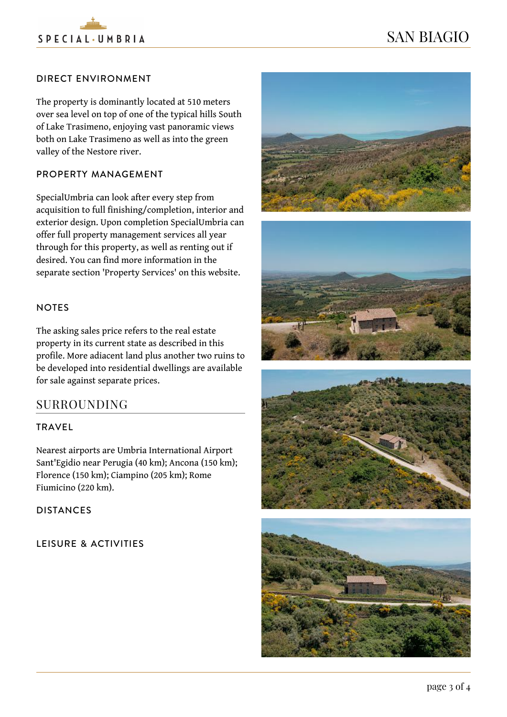

# SAN BIAGIO

#### DIRECT ENVIRONMENT

The property is dominantly located at 510 meters over sea level on top of one of the typical hills South of Lake Trasimeno, enjoying vast panoramic views both on Lake Trasimeno as well as into the green valley of the Nestore river.

#### PROPERTY MANAGEMENT

SpecialUmbria can look after every step from acquisition to full finishing/completion, interior and exterior design. Upon completion SpecialUmbria can offer full property management services all year through for this property, as well as renting out if desired. You can find more information in the separate section 'Property Services' on this website.

#### NOTES

The asking sales price refers to the real estate property in its current state as described in this profile. More adiacent land plus another two ruins to be developed into residential dwellings are available for sale against separate prices.

#### SURROUNDING

#### TRAVEL

Nearest airports are Umbria International Airport Sant'Egidio near Perugia (40 km); Ancona (150 km); Florence (150 km); Ciampino (205 km); Rome Fiumicino (220 km).

DISTANCES

LEISURE & ACTIVITIES